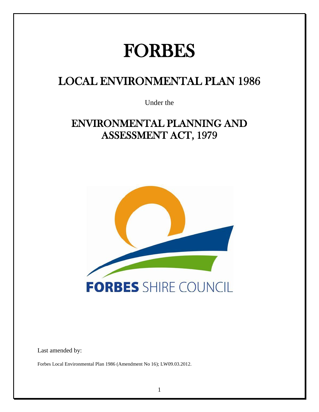# FORBES

## LOCAL ENVIRONMENTAL PLAN 1986

Under the

### ENVIRONMENTAL PLANNING AND ASSESSMENT ACT, 1979



Last amended by:

Forbes Local Environmental Plan 1986 (Amendment No 16); LW09.03.2012.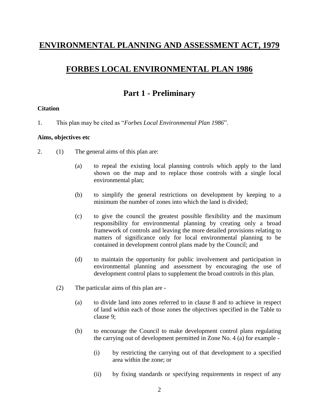### **ENVIRONMENTAL PLANNING AND ASSESSMENT ACT, 1979**

### **FORBES LOCAL ENVIRONMENTAL PLAN 1986**

### **Part 1 - Preliminary**

#### **Citation**

1. This plan may be cited as "*Forbes Local Environmental Plan 1986*".

#### **Aims, objectives etc**

- 2. (1) The general aims of this plan are:
	- (a) to repeal the existing local planning controls which apply to the land shown on the map and to replace those controls with a single local environmental plan;
	- (b) to simplify the general restrictions on development by keeping to a minimum the number of zones into which the land is divided;
	- (c) to give the council the greatest possible flexibility and the maximum responsibility for environmental planning by creating only a broad framework of controls and leaving the more detailed provisions relating to matters of significance only for local environmental planning to be contained in development control plans made by the Council; and
	- (d) to maintain the opportunity for public involvement and participation in environmental planning and assessment by encouraging the use of development control plans to supplement the broad controls in this plan.
	- (2) The particular aims of this plan are
		- (a) to divide land into zones referred to in clause 8 and to achieve in respect of land within each of those zones the objectives specified in the Table to clause 9;
		- (b) to encourage the Council to make development control plans regulating the carrying out of development permitted in Zone No. 4 (a) for example -
			- (i) by restricting the carrying out of that development to a specified area within the zone; or
			- (ii) by fixing standards or specifying requirements in respect of any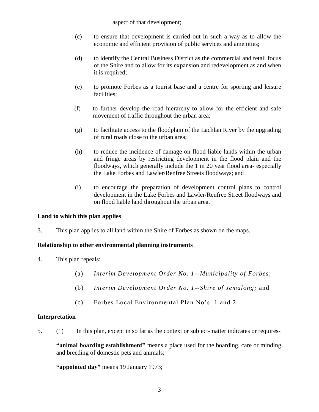aspect of that development;

- (c) to ensure that development is carried out in such a way as to allow the economic and efficient provision of public services and amenities;
- (d) to identify the Central Business District as the commercial and retail focus of the Shire and to allow for its expansion and redevelopment as and when it is required;
- (e) to promote Forbes as a tourist base and a centre for sporting and leisure facilities;
- (f) to further develop the road hierarchy to allow for the efficient and safe movement of traffic throughout the urban area;
- (g) to facilitate access to the floodplain of the Lachlan River by the upgrading of rural roads close to the urban area;
- (h) to reduce the incidence of damage on flood liable lands within the urban and fringe areas by restricting development in the flood plain and the floodways, which generally include the 1 in 20 year flood area- especially the Lake Forbes and Lawler/Renfree Streets floodways; and
- (i) to encourage the preparation of development control plans to control development in the Lake Forbes and Lawler/Renfree Street floodways and on flood liable land throughout the urban area.

### **Land to which this plan applies**

3. This plan applies to all land within the Shire of Forbes as shown on the maps.

### **Relationship to other environmental planning instruments**

- 4. This plan repeals:
	- (a) *Interim Development Order No. 1--Municipality of Forbes*;
	- (b) *Interim Development Order No. 1--Shire of Jemalong;* and
	- (c) Forbes Local Environmental Plan No's. 1 and 2.

#### **Interpretation**

5. (1) In this plan, except in so far as the context or subject-matter indicates or requires-

**"animal boarding establishment"** means a place used for the boarding, care or minding and breeding of domestic pets and animals;

**"appointed day"** means 19 January 1973;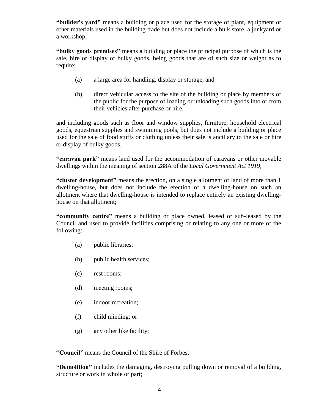**"builder's yard"** means a building or place used for the storage of plant, equipment or other materials used in the building trade but does not include a bulk store, a junkyard or a workshop;

**"bulky goods premises"** means a building or place the principal purpose of which is the sale, hire or display of bulky goods, being goods that are of such size or weight as to require:

- (a) a large area for handling, display or storage, and
- (b) direct vehicular access to the site of the building or place by members of the public for the purpose of loading or unloading such goods into or from their vehicles after purchase or hire,

and including goods such as floor and window supplies, furniture, household electrical goods, equestrian supplies and swimming pools, but does not include a building or place used for the sale of food stuffs or clothing unless their sale is ancillary to the sale or hire or display of bulky goods;

**"caravan park"** means land used for the accommodation of caravans or other movable dwellings within the meaning of section 288A of the *Local Government Act 1919*;

**"cluster development"** means the erection, on a single allotment of land of more than 1 dwelling-house, but does not include the erection of a dwelling-house on such an allotment where that dwelling-house is intended to replace entirely an existing dwellinghouse on that allotment;

**"community centre"** means a building or place owned, leased or sub-leased by the Council and used to provide facilities comprising or relating to any one or more of the following:

- (a) public libraries;
- (b) public health services;
- (c) rest rooms;
- (d) meeting rooms;
- (e) indoor recreation;
- (f) child minding; or
- (g) any other like facility;

**"Council"** means the Council of the Shire of Forbes;

**"Demolition"** includes the damaging, destroying pulling down or removal of a building, structure or work in whole or part;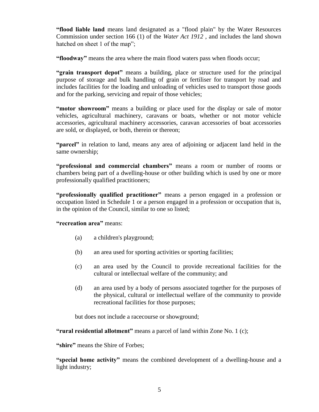**"flood liable land** means land designated as a "flood plain" by the Water Resources Commission under section 166 (1) of the *Water Act 1912* , and includes the land shown hatched on sheet 1 of the map";

**"floodway"** means the area where the main flood waters pass when floods occur;

**"grain transport depot"** means a building, place or structure used for the principal purpose of storage and bulk handling of grain or fertiliser for transport by road and includes facilities for the loading and unloading of vehicles used to transport those goods and for the parking, servicing and repair of those vehicles;

**"motor showroom"** means a building or place used for the display or sale of motor vehicles, agricultural machinery, caravans or boats, whether or not motor vehicle accessories, agricultural machinery accessories, caravan accessories of boat accessories are sold, or displayed, or both, therein or thereon;

**"parcel"** in relation to land, means any area of adjoining or adjacent land held in the same ownership;

**"professional and commercial chambers"** means a room or number of rooms or chambers being part of a dwelling-house or other building which is used by one or more professionally qualified practitioners;

**"professionally qualified practitioner"** means a person engaged in a profession or occupation listed in Schedule 1 or a person engaged in a profession or occupation that is, in the opinion of the Council, similar to one so listed;

**"recreation area"** means:

- (a) a children's playground;
- (b) an area used for sporting activities or sporting facilities;
- (c) an area used by the Council to provide recreational facilities for the cultural or intellectual welfare of the community; and
- (d) an area used by a body of persons associated together for the purposes of the physical, cultural or intellectual welfare of the community to provide recreational facilities for those purposes;

but does not include a racecourse or showground;

**"rural residential allotment"** means a parcel of land within Zone No. 1 (c);

**"shire"** means the Shire of Forbes;

**"special home activity"** means the combined development of a dwelling-house and a light industry;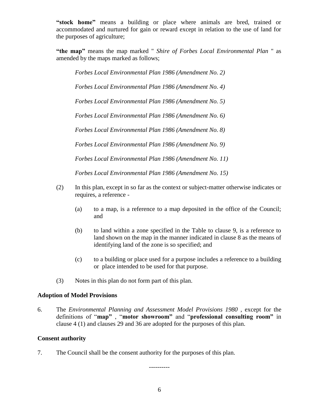**"stock home"** means a building or place where animals are bred, trained or accommodated and nurtured for gain or reward except in relation to the use of land for the purposes of agriculture;

**"the map"** means the map marked " *Shire of Forbes Local Environmental Plan* " as amended by the maps marked as follows;

*Forbes Local Environmental Plan 1986 (Amendment No. 2)*

*Forbes Local Environmental Plan 1986 (Amendment No. 4)*

*Forbes Local Environmental Plan 1986 (Amendment No. 5)*

*Forbes Local Environmental Plan 1986 (Amendment No. 6)*

*Forbes Local Environmental Plan 1986 (Amendment No. 8)*

*Forbes Local Environmental Plan 1986 (Amendment No. 9)*

*Forbes Local Environmental Plan 1986 (Amendment No. 11)*

*Forbes Local Environmental Plan 1986 (Amendment No. 15)*

- (2) In this plan, except in so far as the context or subject-matter otherwise indicates or requires, a reference -
	- (a) to a map, is a reference to a map deposited in the office of the Council; and
	- (b) to land within a zone specified in the Table to clause 9, is a reference to land shown on the map in the manner indicated in clause 8 as the means of identifying land of the zone is so specified; and
	- (c) to a building or place used for a purpose includes a reference to a building or place intended to be used for that purpose.
- (3) Notes in this plan do not form part of this plan.

#### **Adoption of Model Provisions**

6. The *Environmental Planning and Assessment Model Provisions 1980* , except for the definitions of "**map"** , "**motor showroom"** and "**professional consulting room"** in clause 4 (1) and clauses 29 and 36 are adopted for the purposes of this plan.

#### **Consent authority**

7. The Council shall be the consent authority for the purposes of this plan.

----------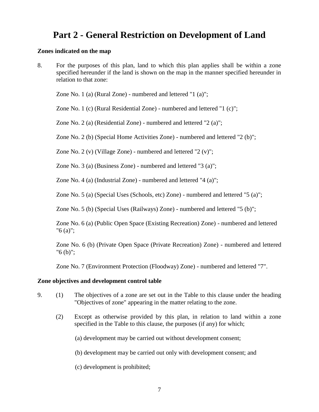### **Part 2 - General Restriction on Development of Land**

#### **Zones indicated on the map**

8. For the purposes of this plan, land to which this plan applies shall be within a zone specified hereunder if the land is shown on the map in the manner specified hereunder in relation to that zone:

Zone No. 1 (a) (Rural Zone) - numbered and lettered "1 (a)";

Zone No. 1 (c) (Rural Residential Zone) - numbered and lettered "1 (c)";

Zone No. 2 (a) (Residential Zone) - numbered and lettered "2 (a)";

Zone No. 2 (b) (Special Home Activities Zone) - numbered and lettered "2 (b)";

Zone No. 2 (v) (Village Zone) - numbered and lettered "2 (v)";

Zone No. 3 (a) (Business Zone) - numbered and lettered "3 (a)";

Zone No. 4 (a) (Industrial Zone) - numbered and lettered "4 (a)";

Zone No. 5 (a) (Special Uses (Schools, etc) Zone) - numbered and lettered "5 (a)";

Zone No. 5 (b) (Special Uses (Railways) Zone) - numbered and lettered "5 (b)";

Zone No. 6 (a) (Public Open Space (Existing Recreation) Zone) - numbered and lettered "6 (a)";

Zone No. 6 (b) (Private Open Space (Private Recreation) Zone) - numbered and lettered "6 (b)";

Zone No. 7 (Environment Protection (Floodway) Zone) - numbered and lettered "7".

#### **Zone objectives and development control table**

- 9. (1) The objectives of a zone are set out in the Table to this clause under the heading "Objectives of zone" appearing in the matter relating to the zone.
	- (2) Except as otherwise provided by this plan, in relation to land within a zone specified in the Table to this clause, the purposes (if any) for which;
		- (a) development may be carried out without development consent;
		- (b) development may be carried out only with development consent; and
		- (c) development is prohibited;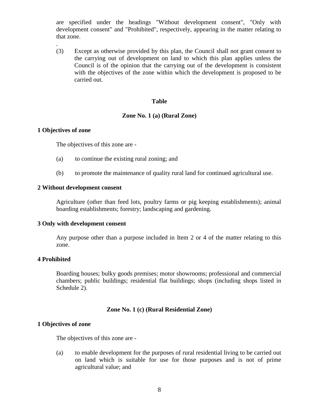are specified under the headings "Without development consent", "Only with development consent" and "Prohibited", respectively, appearing in the matter relating to that zone.

(3) Except as otherwise provided by this plan, the Council shall not grant consent to the carrying out of development on land to which this plan applies unless the Council is of the opinion that the carrying out of the development is consistent with the objectives of the zone within which the development is proposed to be carried out.

#### **Table**

#### **Zone No. 1 (a) (Rural Zone)**

#### **1 Objectives of zone**

.

The objectives of this zone are -

- (a) to continue the existing rural zoning; and
- (b) to promote the maintenance of quality rural land for continued agricultural use.

#### **2 Without development consent**

Agriculture (other than feed lots, poultry farms or pig keeping establishments); animal boarding establishments; forestry; landscaping and gardening.

#### **3 Only with development consent**

Any purpose other than a purpose included in Item 2 or 4 of the matter relating to this zone.

#### **4 Prohibited**

Boarding houses; bulky goods premises; motor showrooms; professional and commercial chambers; public buildings; residential flat buildings; shops (including shops listed in Schedule 2).

#### **Zone No. 1 (c) (Rural Residential Zone)**

#### **1 Objectives of zone**

The objectives of this zone are -

(a) to enable development for the purposes of rural residential living to be carried out on land which is suitable for use for those purposes and is not of prime agricultural value; and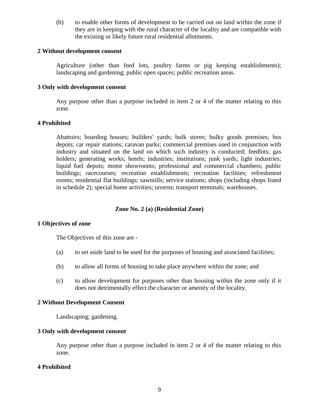(b) to enable other forms of development to be carried out on land within the zone if they are in keeping with the rural character of the locality and are compatible with the existing or likely future rural residential allotments.

#### **2 Without development consent**

Agriculture (other than feed lots, poultry farms or pig keeping establishments); landscaping and gardening; public open spaces; public recreation areas.

#### **3 Only with development consent**

Any purpose other than a purpose included in item 2 or 4 of the matter relating to this zone.

#### **4 Prohibited**

Abattoirs; boarding houses; builders' yards; bulk stores; bulky goods premises; bus depots; car repair stations; caravan parks; commercial premises used in conjunction with industry and situated on the land on which such industry is conducted; feedlots; gas holders; generating works; hotels; industries; institutions; junk yards; light industries; liquid fuel depots; motor showrooms; professional and commercial chambers; public buildings; racecourses; recreation establishments; recreation facilities; refreshment rooms; residential flat buildings; sawmills; service stations; shops (including shops listed in schedule 2); special home activities; taverns; transport terminals; warehouses.

#### **Zone No. 2 (a) (Residential Zone)**

#### **1 Objectives of zone**

The Objectives of this zone are -

- (a) to set aside land to be used for the purposes of housing and associated facilities;
- (b) to allow all forms of housing to take place anywhere within the zone; and
- (c) to allow development for purposes other than housing within the zone only if it does not detrimentally effect the character or amenity of the locality.

#### **2 Without Development Consent**

Landscaping; gardening.

#### **3 Only with development consent**

Any purpose other than a purpose included in item 2 or 4 of the matter relating to this zone.

#### **4 Prohibited**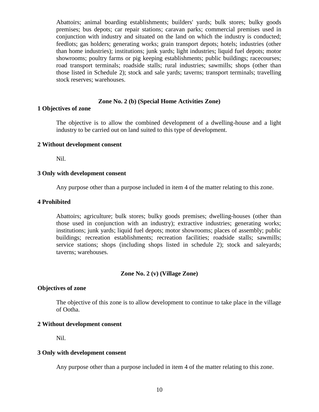Abattoirs; animal boarding establishments; builders' yards; bulk stores; bulky goods premises; bus depots; car repair stations; caravan parks; commercial premises used in conjunction with industry and situated on the land on which the industry is conducted; feedlots; gas holders; generating works; grain transport depots; hotels; industries (other than home industries); institutions; junk yards; light industries; liquid fuel depots; motor showrooms; poultry farms or pig keeping establishments; public buildings; racecourses; road transport terminals; roadside stalls; rural industries; sawmills; shops (other than those listed in Schedule 2); stock and sale yards; taverns; transport terminals; travelling stock reserves; warehouses.

#### **Zone No. 2 (b) (Special Home Activities Zone)**

#### **1 Objectives of zone**

The objective is to allow the combined development of a dwelling-house and a light industry to be carried out on land suited to this type of development.

#### **2 Without development consent**

Nil.

#### **3 Only with development consent**

Any purpose other than a purpose included in item 4 of the matter relating to this zone.

#### **4 Prohibited**

Abattoirs; agriculture; bulk stores; bulky goods premises; dwelling-houses (other than those used in conjunction with an industry); extractive industries; generating works; institutions; junk yards; liquid fuel depots; motor showrooms; places of assembly; public buildings; recreation establishments; recreation facilities; roadside stalls; sawmills; service stations; shops (including shops listed in schedule 2); stock and saleyards; taverns; warehouses.

#### **Zone No. 2 (v) (Village Zone)**

#### **Objectives of zone**

The objective of this zone is to allow development to continue to take place in the village of Ootha.

#### **2 Without development consent**

Nil.

#### **3 Only with development consent**

Any purpose other than a purpose included in item 4 of the matter relating to this zone.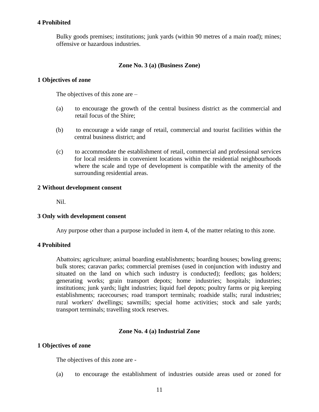#### **4 Prohibited**

Bulky goods premises; institutions; junk yards (within 90 metres of a main road); mines; offensive or hazardous industries.

#### **Zone No. 3 (a) (Business Zone)**

#### **1 Objectives of zone**

The objectives of this zone are –

- (a) to encourage the growth of the central business district as the commercial and retail focus of the Shire;
- (b) to encourage a wide range of retail, commercial and tourist facilities within the central business district; and
- (c) to accommodate the establishment of retail, commercial and professional services for local residents in convenient locations within the residential neighbourhoods where the scale and type of development is compatible with the amenity of the surrounding residential areas.

#### **2 Without development consent**

Nil.

#### **3 Only with development consent**

Any purpose other than a purpose included in item 4, of the matter relating to this zone.

#### **4 Prohibited**

Abattoirs; agriculture; animal boarding establishments; boarding houses; bowling greens; bulk stores; caravan parks; commercial premises (used in conjunction with industry and situated on the land on which such industry is conducted); feedlots; gas holders; generating works; grain transport depots; home industries; hospitals; industries; institutions; junk yards; light industries; liquid fuel depots; poultry farms or pig keeping establishments; racecourses; road transport terminals; roadside stalls; rural industries; rural workers' dwellings; sawmills; special home activities; stock and sale yards; transport terminals; travelling stock reserves.

#### **Zone No. 4 (a) Industrial Zone**

#### **1 Objectives of zone**

The objectives of this zone are -

(a) to encourage the establishment of industries outside areas used or zoned for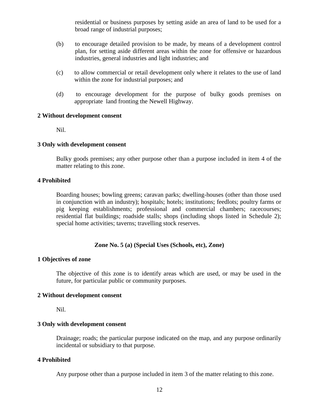residential or business purposes by setting aside an area of land to be used for a broad range of industrial purposes;

- (b) to encourage detailed provision to be made, by means of a development control plan, for setting aside different areas within the zone for offensive or hazardous industries, general industries and light industries; and
- (c) to allow commercial or retail development only where it relates to the use of land within the zone for industrial purposes; and
- (d) to encourage development for the purpose of bulky goods premises on appropriate land fronting the Newell Highway.

#### **2 Without development consent**

Nil.

#### **3 Only with development consent**

Bulky goods premises; any other purpose other than a purpose included in item 4 of the matter relating to this zone.

#### **4 Prohibited**

Boarding houses; bowling greens; caravan parks; dwelling-houses (other than those used in conjunction with an industry); hospitals; hotels; institutions; feedlots; poultry farms or pig keeping establishments; professional and commercial chambers; racecourses; residential flat buildings; roadside stalls; shops (including shops listed in Schedule 2); special home activities; taverns; travelling stock reserves.

#### **Zone No. 5 (a) (Special Uses (Schools, etc), Zone)**

#### **1 Objectives of zone**

The objective of this zone is to identify areas which are used, or may be used in the future, for particular public or community purposes.

#### **2 Without development consent**

Nil.

#### **3 Only with development consent**

Drainage; roads; the particular purpose indicated on the map, and any purpose ordinarily incidental or subsidiary to that purpose.

#### **4 Prohibited**

Any purpose other than a purpose included in item 3 of the matter relating to this zone.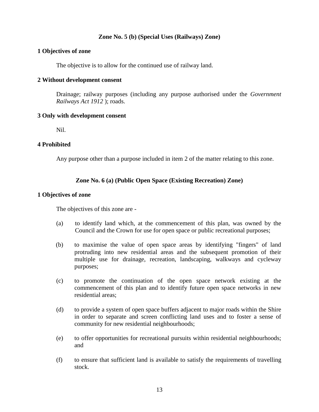#### **Zone No. 5 (b) (Special Uses (Railways) Zone)**

#### **1 Objectives of zone**

The objective is to allow for the continued use of railway land.

#### **2 Without development consent**

Drainage; railway purposes (including any purpose authorised under the *Government Railways Act 1912* ); roads.

#### **3 Only with development consent**

Nil.

#### **4 Prohibited**

Any purpose other than a purpose included in item 2 of the matter relating to this zone.

#### **Zone No. 6 (a) (Public Open Space (Existing Recreation) Zone)**

#### **1 Objectives of zone**

The objectives of this zone are -

- (a) to identify land which, at the commencement of this plan, was owned by the Council and the Crown for use for open space or public recreational purposes;
- (b) to maximise the value of open space areas by identifying "fingers" of land protruding into new residential areas and the subsequent promotion of their multiple use for drainage, recreation, landscaping, walkways and cycleway purposes;
- (c) to promote the continuation of the open space network existing at the commencement of this plan and to identify future open space networks in new residential areas;
- (d) to provide a system of open space buffers adjacent to major roads within the Shire in order to separate and screen conflicting land uses and to foster a sense of community for new residential neighbourhoods;
- (e) to offer opportunities for recreational pursuits within residential neighbourhoods; and
- (f) to ensure that sufficient land is available to satisfy the requirements of travelling stock.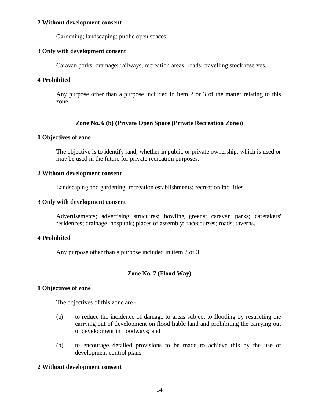#### **2 Without development consent**

Gardening; landscaping; public open spaces.

#### **3 Only with development consent**

Caravan parks; drainage; railways; recreation areas; roads; travelling stock reserves.

#### **4 Prohibited**

Any purpose other than a purpose included in item 2 or 3 of the matter relating to this zone.

#### **Zone No. 6 (b) (Private Open Space (Private Recreation Zone))**

#### **1 Objectives of zone**

The objective is to identify land, whether in public or private ownership, which is used or may be used in the future for private recreation purposes.

#### **2 Without development consent**

Landscaping and gardening; recreation establishments; recreation facilities.

#### **3 Only with development consent**

Advertisements; advertising structures; bowling greens; caravan parks; caretakers' residences; drainage; hospitals; places of assembly; racecourses; roads; taverns.

#### **4 Prohibited**

Any purpose other than a purpose included in item 2 or 3.

#### **Zone No. 7 (Flood Way)**

#### **1 Objectives of zone**

The objectives of this zone are -

- (a) to reduce the incidence of damage to areas subject to flooding by restricting the carrying out of development on flood liable land and prohibiting the carrying out of development in floodways; and
- (b) to encourage detailed provisions to be made to achieve this by the use of development control plans.

#### **2 Without development consent**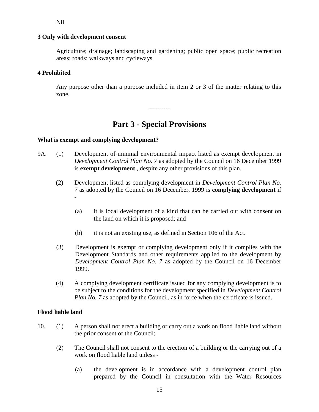Nil.

#### **3 Only with development consent**

Agriculture; drainage; landscaping and gardening; public open space; public recreation areas; roads; walkways and cycleways.

#### **4 Prohibited**

Any purpose other than a purpose included in item 2 or 3 of the matter relating to this zone.

----------

### **Part 3 - Special Provisions**

#### **What is exempt and complying development?**

- 9A. (1) Development of minimal environmental impact listed as exempt development in *Development Control Plan No. 7* as adopted by the Council on 16 December 1999 is **exempt development** , despite any other provisions of this plan.
	- (2) Development listed as complying development in *Development Control Plan No. 7* as adopted by the Council on 16 December, 1999 is **complying development** if -
		- (a) it is local development of a kind that can be carried out with consent on the land on which it is proposed; and
		- (b) it is not an existing use, as defined in Section 106 of the Act.
	- (3) Development is exempt or complying development only if it complies with the Development Standards and other requirements applied to the development by *Development Control Plan No. 7* as adopted by the Council on 16 December 1999.
	- (4) A complying development certificate issued for any complying development is to be subject to the conditions for the development specified in *Development Control Plan No.* 7 as adopted by the Council, as in force when the certificate is issued.

#### **Flood liable land**

- 10. (1) A person shall not erect a building or carry out a work on flood liable land without the prior consent of the Council;
	- (2) The Council shall not consent to the erection of a building or the carrying out of a work on flood liable land unless -
		- (a) the development is in accordance with a development control plan prepared by the Council in consultation with the Water Resources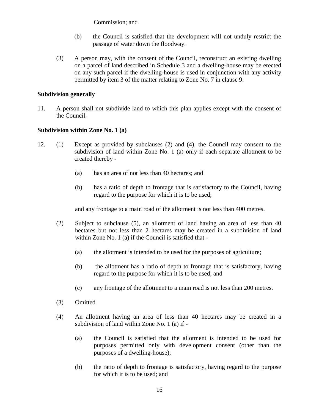Commission; and

- (b) the Council is satisfied that the development will not unduly restrict the passage of water down the floodway.
- (3) A person may, with the consent of the Council, reconstruct an existing dwelling on a parcel of land described in Schedule 3 and a dwelling-house may be erected on any such parcel if the dwelling-house is used in conjunction with any activity permitted by item 3 of the matter relating to Zone No. 7 in clause 9.

#### **Subdivision generally**

11. A person shall not subdivide land to which this plan applies except with the consent of the Council.

#### **Subdivision within Zone No. 1 (a)**

- 12. (1) Except as provided by subclauses (2) and (4), the Council may consent to the subdivision of land within Zone No. 1 (a) only if each separate allotment to be created thereby -
	- (a) has an area of not less than 40 hectares; and
	- (b) has a ratio of depth to frontage that is satisfactory to the Council, having regard to the purpose for which it is to be used;

and any frontage to a main road of the allotment is not less than 400 metres.

- (2) Subject to subclause (5), an allotment of land having an area of less than 40 hectares but not less than 2 hectares may be created in a subdivision of land within Zone No. 1 (a) if the Council is satisfied that -
	- (a) the allotment is intended to be used for the purposes of agriculture;
	- (b) the allotment has a ratio of depth to frontage that is satisfactory, having regard to the purpose for which it is to be used; and
	- (c) any frontage of the allotment to a main road is not less than 200 metres.
- (3) Omitted
- (4) An allotment having an area of less than 40 hectares may be created in a subdivision of land within Zone No. 1 (a) if -
	- (a) the Council is satisfied that the allotment is intended to be used for purposes permitted only with development consent (other than the purposes of a dwelling-house);
	- (b) the ratio of depth to frontage is satisfactory, having regard to the purpose for which it is to be used; and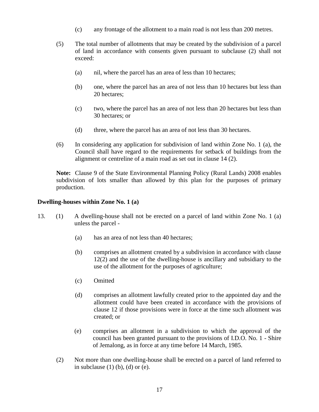- (c) any frontage of the allotment to a main road is not less than 200 metres.
- (5) The total number of allotments that may be created by the subdivision of a parcel of land in accordance with consents given pursuant to subclause (2) shall not exceed:
	- (a) nil, where the parcel has an area of less than 10 hectares;
	- (b) one, where the parcel has an area of not less than 10 hectares but less than 20 hectares;
	- (c) two, where the parcel has an area of not less than 20 hectares but less than 30 hectares; or
	- (d) three, where the parcel has an area of not less than 30 hectares.
- (6) In considering any application for subdivision of land within Zone No. 1 (a), the Council shall have regard to the requirements for setback of buildings from the alignment or centreline of a main road as set out in clause 14 (2).

**Note:** Clause 9 of the State Environmental Planning Policy (Rural Lands) 2008 enables subdivision of lots smaller than allowed by this plan for the purposes of primary production.

#### **Dwelling-houses within Zone No. 1 (a)**

- 13. (1) A dwelling-house shall not be erected on a parcel of land within Zone No. 1 (a) unless the parcel -
	- (a) has an area of not less than 40 hectares;
	- (b) comprises an allotment created by a subdivision in accordance with clause 12(2) and the use of the dwelling-house is ancillary and subsidiary to the use of the allotment for the purposes of agriculture;
	- (c) Omitted
	- (d) comprises an allotment lawfully created prior to the appointed day and the allotment could have been created in accordance with the provisions of clause 12 if those provisions were in force at the time such allotment was created; or
	- (e) comprises an allotment in a subdivision to which the approval of the council has been granted pursuant to the provisions of I.D.O. No. 1 - Shire of Jemalong, as in force at any time before 14 March, 1985.
	- (2) Not more than one dwelling-house shall be erected on a parcel of land referred to in subclause  $(1)$   $(b)$ ,  $(d)$  or  $(e)$ .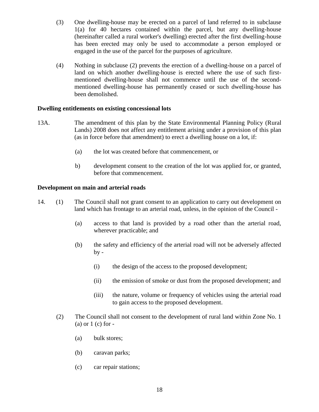- (3) One dwelling-house may be erected on a parcel of land referred to in subclause 1(a) for 40 hectares contained within the parcel, but any dwelling-house (hereinafter called a rural worker's dwelling) erected after the first dwelling-house has been erected may only be used to accommodate a person employed or engaged in the use of the parcel for the purposes of agriculture.
- (4) Nothing in subclause (2) prevents the erection of a dwelling-house on a parcel of land on which another dwelling-house is erected where the use of such firstmentioned dwelling-house shall not commence until the use of the secondmentioned dwelling-house has permanently ceased or such dwelling-house has been demolished.

#### **Dwelling entitlements on existing concessional lots**

- 13A. The amendment of this plan by the State Environmental Planning Policy (Rural Lands) 2008 does not affect any entitlement arising under a provision of this plan (as in force before that amendment) to erect a dwelling house on a lot, if:
	- (a) the lot was created before that commencement, or
	- b) development consent to the creation of the lot was applied for, or granted, before that commencement.

#### **Development on main and arterial roads**

- 14. (1) The Council shall not grant consent to an application to carry out development on land which has frontage to an arterial road, unless, in the opinion of the Council -
	- (a) access to that land is provided by a road other than the arterial road, wherever practicable; and
	- (b) the safety and efficiency of the arterial road will not be adversely affected  $by -$ 
		- (i) the design of the access to the proposed development;
		- (ii) the emission of smoke or dust from the proposed development; and
		- (iii) the nature, volume or frequency of vehicles using the arterial road to gain access to the proposed development.
	- (2) The Council shall not consent to the development of rural land within Zone No. 1  $(a)$  or  $1$  (c) for  $-$ 
		- (a) bulk stores;
		- (b) caravan parks;
		- (c) car repair stations;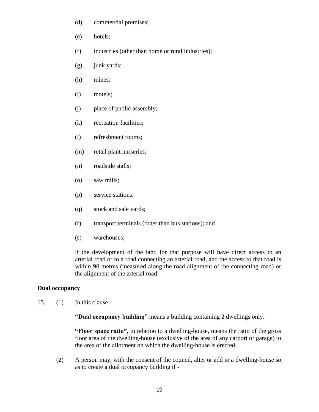- (d) commercial premises;
- (e) hotels;
- (f) industries (other than home or rural industries);
- (g) junk yards;
- (h) mines;
- (i) motels;
- (j) place of public assembly;
- (k) recreation facilities;
- (l) refreshment rooms;
- (m) retail plant nurseries;
- (n) roadside stalls;
- (o) saw mills;
- (p) service stations;
- (q) stock and sale yards;
- (r) transport terminals (other than bus stations); and
- (s) warehouses;

if the development of the land for that purpose will have direct access to an arterial road or to a road connecting an arterial road, and the access to that road is within 90 metres (measured along the road alignment of the connecting road) or the alignment of the arterial road.

#### **Dual occupancy**

15. (1) In this clause -

**"Dual occupancy building"** means a building containing 2 dwellings only.

**"Floor space ratio"**, in relation to a dwelling-house, means the ratio of the gross floor area of the dwelling-house (exclusive of the area of any carport or garage) to the area of the allotment on which the dwelling-house is erected.

(2) A person may, with the consent of the council, alter or add to a dwelling-house so as to create a dual occupancy building if -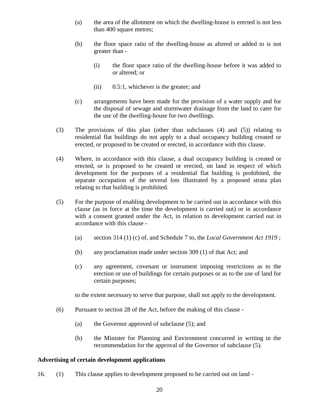- (a) the area of the allotment on which the dwelling-house is erected is not less than 400 square metres;
- (b) the floor space ratio of the dwelling-house as altered or added to is not greater than -
	- (i) the floor space ratio of the dwelling-house before it was added to or altered; or
	- (ii) 0.5:1, whichever is the greater; and
- (c) arrangements have been made for the provision of a water supply and for the disposal of sewage and stormwater drainage from the land to cater for the use of the dwelling-house for two dwellings.
- (3) The provisions of this plan (other than subclauses (4) and (5)) relating to residential flat buildings do not apply to a dual occupancy building created or erected, or proposed to be created or erected, in accordance with this clause.
- (4) Where, in accordance with this clause, a dual occupancy building is created or erected, or is proposed to be created or erected, on land in respect of which development for the purposes of a residential flat building is prohibited, the separate occupation of the several lots illustrated by a proposed strata plan relating to that building is prohibited.
- (5) For the purpose of enabling development to be carried out in accordance with this clause (as in force at the time the development is carried out) or in accordance with a consent granted under the Act, in relation to development carried out in accordance with this clause -
	- (a) section 314 (1) (c) of, and Schedule 7 to, the *Local Government Act 1919* ;
	- (b) any proclamation made under section 309 (1) of that Act; and
	- (c) any agreement, covenant or instrument imposing restrictions as to the erection or use of buildings for certain purposes or as to the use of land for certain purposes;

to the extent necessary to serve that purpose, shall not apply to the development.

- (6) Pursuant to section 28 of the Act, before the making of this clause
	- (a) the Governor approved of subclause (5); and
	- (b) the Minister for Planning and Environment concurred in writing in the recommendation for the approval of the Governor of subclause (5).

#### **Advertising of certain development applications**

16. (1) This clause applies to development proposed to be carried out on land -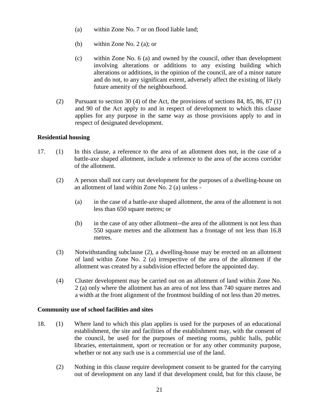- (a) within Zone No. 7 or on flood liable land;
- (b) within Zone No. 2 (a); or
- (c) within Zone No. 6 (a) and owned by the council, other than development involving alterations or additions to any existing building which alterations or additions, in the opinion of the council, are of a minor nature and do not, to any significant extent, adversely affect the existing of likely future amenity of the neighbourhood.
- (2) Pursuant to section 30 (4) of the Act, the provisions of sections 84, 85, 86, 87 (1) and 90 of the Act apply to and in respect of development to which this clause applies for any purpose in the same way as those provisions apply to and in respect of designated development.

#### **Residential housing**

- 17. (1) In this clause, a reference to the area of an allotment does not, in the case of a battle-axe shaped allotment, include a reference to the area of the access corridor of the allotment.
	- (2) A person shall not carry out development for the purposes of a dwelling-house on an allotment of land within Zone No. 2 (a) unless -
		- (a) in the case of a battle-axe shaped allotment, the area of the allotment is not less than 650 square metres; or
		- (b) in the case of any other allotment--the area of the allotment is not less than 550 square metres and the allotment has a frontage of not less than 16.8 metres.
	- (3) Notwithstanding subclause (2), a dwelling-house may be erected on an allotment of land within Zone No. 2 (a) irrespective of the area of the allotment if the allotment was created by a subdivision effected before the appointed day.
	- (4) Cluster development may be carried out on an allotment of land within Zone No. 2 (a) only where the allotment has an area of not less than 740 square metres and a width at the front alignment of the frontmost building of not less than 20 metres.

#### **Community use of school facilities and sites**

- 18. (1) Where land to which this plan applies is used for the purposes of an educational establishment, the site and facilities of the establishment may, with the consent of the council, be used for the purposes of meeting rooms, public halls, public libraries, entertainment, sport or recreation or for any other community purpose, whether or not any such use is a commercial use of the land.
	- (2) Nothing in this clause require development consent to be granted for the carrying out of development on any land if that development could, but for this clause, be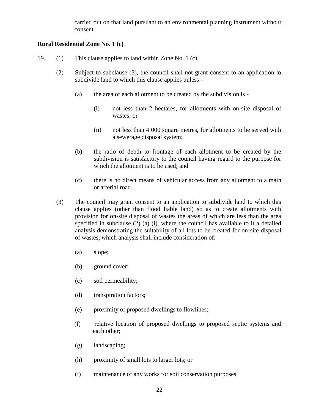carried out on that land pursuant to an environmental planning instrument without consent.

#### **Rural Residential Zone No. 1 (c)**

- 19. (1) This clause applies to land within Zone No. 1 (c).
	- (2) Subject to subclause (3), the council shall not grant consent to an application to subdivide land to which this clause applies unless -
		- (a) the area of each allotment to be created by the subdivision is
			- (i) not less than 2 hectares, for allotments with on-site disposal of wastes; or
			- (ii) not less than 4 000 square metres, for allotments to be served with a sewerage disposal system;
		- (b) the ratio of depth to frontage of each allotment to be created by the subdivision is satisfactory to the council having regard to the purpose for which the allotment is to be used; and
		- (c) there is no direct means of vehicular access from any allotment to a main or arterial road.
	- (3) The council may grant consent to an application to subdivide land to which this clause applies (other than flood liable land) so as to create allotments with provision for on-site disposal of wastes the areas of which are less than the area specified in subclause (2) (a) (i), where the council has available to it a detailed analysis demonstrating the suitability of all lots to be created for on-site disposal of wastes, which analysis shall include consideration of:
		- (a) slope;
		- (b) ground cover;
		- (c) soil permeability;
		- (d) transpiration factors;
		- (e) proximity of proposed dwellings to flowlines;
		- (f) relative location of proposed dwellings to proposed septic systems and each other;
		- (g) landscaping;
		- (h) proximity of small lots to larger lots; or
		- (i) maintenance of any works for soil conservation purposes.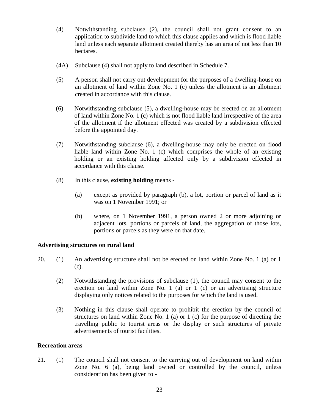- (4) Notwithstanding subclause (2), the council shall not grant consent to an application to subdivide land to which this clause applies and which is flood liable land unless each separate allotment created thereby has an area of not less than 10 hectares.
- (4A) Subclause (4) shall not apply to land described in Schedule 7.
- (5) A person shall not carry out development for the purposes of a dwelling-house on an allotment of land within Zone No. 1 (c) unless the allotment is an allotment created in accordance with this clause.
- (6) Notwithstanding subclause (5), a dwelling-house may be erected on an allotment of land within Zone No. 1 (c) which is not flood liable land irrespective of the area of the allotment if the allotment effected was created by a subdivision effected before the appointed day.
- (7) Notwithstanding subclause (6), a dwelling-house may only be erected on flood liable land within Zone No. 1 (c) which comprises the whole of an existing holding or an existing holding affected only by a subdivision effected in accordance with this clause.
- (8) In this clause, **existing holding** means
	- (a) except as provided by paragraph (b), a lot, portion or parcel of land as it was on 1 November 1991; or
	- (b) where, on 1 November 1991, a person owned 2 or more adjoining or adjacent lots, portions or parcels of land, the aggregation of those lots, portions or parcels as they were on that date.

#### **Advertising structures on rural land**

- 20. (1) An advertising structure shall not be erected on land within Zone No. 1 (a) or 1 (c).
	- (2) Notwithstanding the provisions of subclause (1), the council may consent to the erection on land within Zone No. 1 (a) or 1 (c) or an advertising structure displaying only notices related to the purposes for which the land is used.
	- (3) Nothing in this clause shall operate to prohibit the erection by the council of structures on land within Zone No. 1 (a) or 1 (c) for the purpose of directing the travelling public to tourist areas or the display or such structures of private advertisements of tourist facilities.

#### **Recreation areas**

21. (1) The council shall not consent to the carrying out of development on land within Zone No. 6 (a), being land owned or controlled by the council, unless consideration has been given to -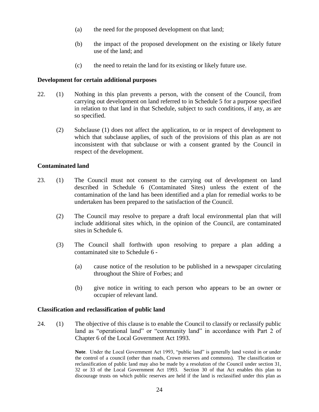- (a) the need for the proposed development on that land;
- (b) the impact of the proposed development on the existing or likely future use of the land; and
- (c) the need to retain the land for its existing or likely future use.

#### **Development for certain additional purposes**

- 22. (1) Nothing in this plan prevents a person, with the consent of the Council, from carrying out development on land referred to in Schedule 5 for a purpose specified in relation to that land in that Schedule, subject to such conditions, if any, as are so specified.
	- (2) Subclause (1) does not affect the application, to or in respect of development to which that subclause applies, of such of the provisions of this plan as are not inconsistent with that subclause or with a consent granted by the Council in respect of the development.

#### **Contaminated land**

- 23. (1) The Council must not consent to the carrying out of development on land described in Schedule 6 (Contaminated Sites) unless the extent of the contamination of the land has been identified and a plan for remedial works to be undertaken has been prepared to the satisfaction of the Council.
	- (2) The Council may resolve to prepare a draft local environmental plan that will include additional sites which, in the opinion of the Council, are contaminated sites in Schedule 6.
	- (3) The Council shall forthwith upon resolving to prepare a plan adding a contaminated site to Schedule 6 -
		- (a) cause notice of the resolution to be published in a newspaper circulating throughout the Shire of Forbes; and
		- (b) give notice in writing to each person who appears to be an owner or occupier of relevant land.

#### **Classification and reclassification of public land**

24. (1) The objective of this clause is to enable the Council to classify or reclassify public land as "operational land" or "community land" in accordance with Part 2 of Chapter 6 of the Local Government Act 1993.

> **Note**. Under the Local Government Act 1993, "public land" is generally land vested in or under the control of a council (other than roads, Crown reserves and commons). The classification or reclassification of public land may also be made by a resolution of the Council under section 31, 32 or 33 of the Local Government Act 1993. Section 30 of that Act enables this plan to discourage trusts on which public reserves are held if the land is reclassified under this plan as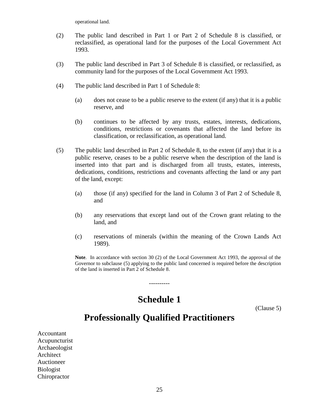operational land.

- (2) The public land described in Part 1 or Part 2 of Schedule 8 is classified, or reclassified, as operational land for the purposes of the Local Government Act 1993.
- (3) The public land described in Part 3 of Schedule 8 is classified, or reclassified, as community land for the purposes of the Local Government Act 1993.
- (4) The public land described in Part 1 of Schedule 8:
	- (a) does not cease to be a public reserve to the extent (if any) that it is a public reserve, and
	- (b) continues to be affected by any trusts, estates, interests, dedications, conditions, restrictions or covenants that affected the land before its classification, or reclassification, as operational land.
- (5) The public land described in Part 2 of Schedule 8, to the extent (if any) that it is a public reserve, ceases to be a public reserve when the description of the land is inserted into that part and is discharged from all trusts, estates, interests, dedications, conditions, restrictions and covenants affecting the land or any part of the land, except:
	- (a) those (if any) specified for the land in Column 3 of Part 2 of Schedule 8, and
	- (b) any reservations that except land out of the Crown grant relating to the land, and
	- (c) reservations of minerals (within the meaning of the Crown Lands Act 1989).

**Note**. In accordance with section 30 (2) of the Local Government Act 1993, the approval of the Governor to subclause (5) applying to the public land concerned is required before the description of the land is inserted in Part 2 of Schedule 8.

### **Schedule 1**

----------

(Clause 5)

### **Professionally Qualified Practitioners**

Accountant Acupuncturist Archaeologist Architect Auctioneer Biologist Chiropractor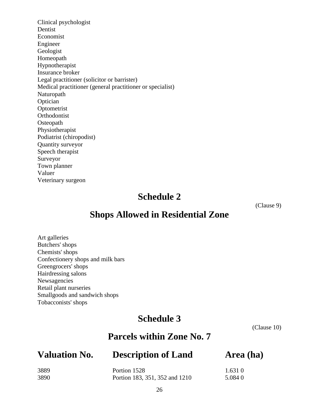Clinical psychologist Dentist Economist Engineer Geologist Homeopath Hypnotherapist Insurance broker Legal practitioner (solicitor or barrister) Medical practitioner (general practitioner or specialist) Naturopath Optician Optometrist Orthodontist **Osteopath** Physiotherapist Podiatrist (chiropodist) Quantity surveyor Speech therapist Surveyor Town planner Valuer Veterinary surgeon

### **Schedule 2**

(Clause 9)

### **Shops Allowed in Residential Zone**

Art galleries Butchers' shops Chemists' shops Confectionery shops and milk bars Greengrocers' shops Hairdressing salons Newsagencies Retail plant nurseries Smallgoods and sandwich shops Tobacconists' shops

### **Schedule 3**

(Clause 10)

### **Parcels within Zone No. 7**

### **Valuation No. Description of Land Area (ha)**

| 3889 | Portion 1528                   | 1.6310  |
|------|--------------------------------|---------|
| 3890 | Portion 183, 351, 352 and 1210 | 5.084 0 |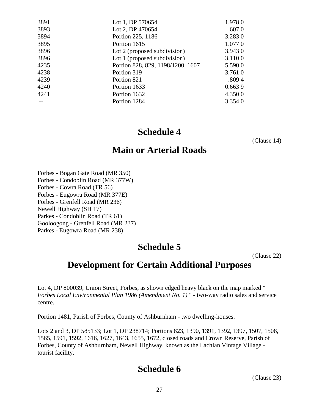| 3891 | Lot 1, DP 570654                  | 1.9780  |
|------|-----------------------------------|---------|
| 3893 | Lot 2, DP 470654                  | .6070   |
| 3894 | Portion 225, 1186                 | 3.2830  |
| 3895 | Portion 1615                      | 1.0770  |
| 3896 | Lot 2 (proposed subdivision)      | 3.9430  |
| 3896 | Lot 1 (proposed subdivision)      | 3.1100  |
| 4235 | Portion 828, 829, 1198/1200, 1607 | 5.5900  |
| 4238 | Portion 319                       | 3.761 0 |
| 4239 | Portion 821                       | .8094   |
| 4240 | Portion 1633                      | 0.6639  |
| 4241 | Portion 1632                      | 4.3500  |
|      | Portion 1284                      | 3.3540  |
|      |                                   |         |

### **Schedule 4**

(Clause 14)

### **Main or Arterial Roads**

Forbes - Bogan Gate Road (MR 350) Forbes - Condoblin Road (MR 377W) Forbes - Cowra Road (TR 56) Forbes - Eugowra Road (MR 377E) Forbes - Grenfell Road (MR 236) Newell Highway (SH 17) Parkes - Condoblin Road (TR 61) Gooloogong - Grenfell Road (MR 237) Parkes - Eugowra Road (MR 238)

### **Schedule 5**

(Clause 22)

### **Development for Certain Additional Purposes**

Lot 4, DP 800039, Union Street, Forbes, as shown edged heavy black on the map marked " *Forbes Local Environmental Plan 1986 (Amendment No. 1)* " - two-way radio sales and service centre.

Portion 1481, Parish of Forbes, County of Ashburnham - two dwelling-houses.

Lots 2 and 3, DP 585133; Lot 1, DP 238714; Portions 823, 1390, 1391, 1392, 1397, 1507, 1508, 1565, 1591, 1592, 1616, 1627, 1643, 1655, 1672, closed roads and Crown Reserve, Parish of Forbes, County of Ashburnham, Newell Highway, known as the Lachlan Vintage Village tourist facility.

### **Schedule 6**

(Clause 23)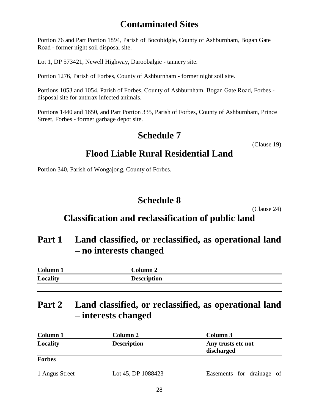### **Contaminated Sites**

Portion 76 and Part Portion 1894, Parish of Bocobidgle, County of Ashburnham, Bogan Gate Road - former night soil disposal site.

Lot 1, DP 573421, Newell Highway, Daroobalgie - tannery site.

Portion 1276, Parish of Forbes, County of Ashburnham - former night soil site.

Portions 1053 and 1054, Parish of Forbes, County of Ashburnham, Bogan Gate Road, Forbes disposal site for anthrax infected animals.

Portions 1440 and 1650, and Part Portion 335, Parish of Forbes, County of Ashburnham, Prince Street, Forbes - former garbage depot site.

### **Schedule 7**

(Clause 19)

### **Flood Liable Rural Residential Land**

Portion 340, Parish of Wongajong, County of Forbes.

### **Schedule 8**

(Clause 24)

### **Classification and reclassification of public land**

### **Part 1 Land classified, or reclassified, as operational land – no interests changed**

| Column <sub>1</sub> | Column 2           |
|---------------------|--------------------|
| Locality            | <b>Description</b> |

### **Part 2 Land classified, or reclassified, as operational land – interests changed**

| Column 1<br><b>Column 2</b> |                    | Column 3                         |  |  |  |
|-----------------------------|--------------------|----------------------------------|--|--|--|
| Locality                    | <b>Description</b> | Any trusts etc not<br>discharged |  |  |  |
| <b>Forbes</b>               |                    |                                  |  |  |  |
| 1 Angus Street              | Lot 45, DP 1088423 | Easements for drainage of        |  |  |  |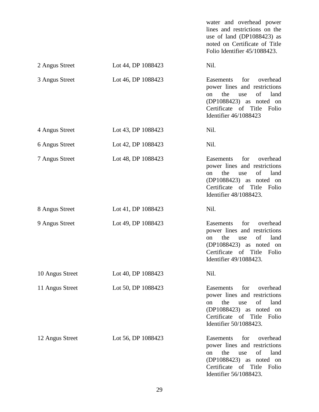water and overhead power lines and restrictions on the use of land (DP1088423) as noted on Certificate of Title Folio Identifier 45/1088423. 2 Angus Street Lot 44, DP 1088423 Nil. 3 Angus Street Lot 46, DP 1088423 Easements for overhead power lines and restrictions on the use of land (DP1088423) as noted on Certificate of Title Folio Identifier 46/1088423 4 Angus Street Lot 43, DP 1088423 Nil. 6 Angus Street Lot 42, DP 1088423 Nil. 7 Angus Street Lot 48, DP 1088423 Easements for overhead power lines and restrictions on the use of land (DP1088423) as noted on Certificate of Title Folio Identifier 48/1088423. 8 Angus Street Lot 41, DP 1088423 Nil. 9 Angus Street Lot 49, DP 1088423 Easements for overhead power lines and restrictions on the use of land (DP1088423) as noted on Certificate of Title Folio Identifier 49/1088423. 10 Angus Street Lot 40, DP 1088423 Nil. 11 Angus Street Lot 50, DP 1088423 Easements for overhead power lines and restrictions on the use of land (DP1088423) as noted on Certificate of Title Folio Identifier 50/1088423. 12 Angus Street Lot 56, DP 1088423 Easements for overhead power lines and restrictions on the use of land (DP1088423) as noted on Certificate of Title Folio

Identifier 56/1088423.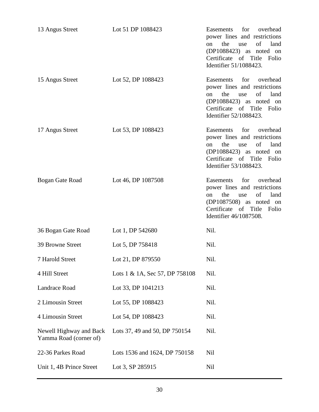| 13 Angus Street                                   | Lot 51 DP 1088423              | for overhead<br>Easements<br>power lines and restrictions<br>of<br>land<br>the<br>use<br><sub>on</sub><br>$(DP1088423)$ as noted on<br>Certificate of Title<br>Folio<br>Identifier 51/1088423. |
|---------------------------------------------------|--------------------------------|------------------------------------------------------------------------------------------------------------------------------------------------------------------------------------------------|
| 15 Angus Street                                   | Lot 52, DP 1088423             | for<br>Easements<br>overhead<br>power lines and restrictions<br>of<br>land<br>the<br>on<br>use<br>$(DP1088423)$ as noted on<br>Certificate of Title<br>Folio<br>Identifier 52/1088423.         |
| 17 Angus Street                                   | Lot 53, DP 1088423             | Easements<br>for<br>overhead<br>power lines and restrictions<br>the<br>of<br>land<br>on<br>use<br>$(DP1088423)$ as noted on<br>Certificate of Title<br>Folio<br>Identifier 53/1088423.         |
| Bogan Gate Road                                   | Lot 46, DP 1087508             | for<br>overhead<br>Easements<br>power lines and restrictions<br>the<br>of<br>land<br>use<br>on<br>(DP1087508) as noted on<br>Certificate of Title<br>Folio<br>Identifier 46/1087508.           |
| 36 Bogan Gate Road                                | Lot 1, DP 542680               | Nil.                                                                                                                                                                                           |
| 39 Browne Street                                  | Lot 5, DP 758418               | Nil.                                                                                                                                                                                           |
| 7 Harold Street                                   | Lot 21, DP 879550              | Nil.                                                                                                                                                                                           |
| 4 Hill Street                                     | Lots 1 & 1A, Sec 57, DP 758108 | Nil.                                                                                                                                                                                           |
| Landrace Road                                     | Lot 33, DP 1041213             | Nil.                                                                                                                                                                                           |
| 2 Limousin Street                                 | Lot 55, DP 1088423             | Nil.                                                                                                                                                                                           |
| 4 Limousin Street                                 | Lot 54, DP 1088423             | Nil.                                                                                                                                                                                           |
| Newell Highway and Back<br>Yamma Road (corner of) | Lots 37, 49 and 50, DP 750154  | Nil.                                                                                                                                                                                           |
| 22-36 Parkes Road                                 | Lots 1536 and 1624, DP 750158  | <b>Nil</b>                                                                                                                                                                                     |
| Unit 1, 4B Prince Street                          | Lot 3, SP 285915               | Nil                                                                                                                                                                                            |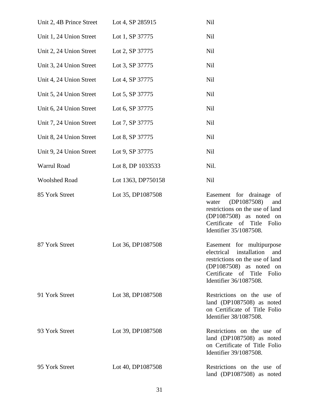| Unit 2, 4B Prince Street | Lot 4, SP 285915   | Nil                                                                                                                                                                                 |
|--------------------------|--------------------|-------------------------------------------------------------------------------------------------------------------------------------------------------------------------------------|
| Unit 1, 24 Union Street  | Lot 1, SP 37775    | Nil                                                                                                                                                                                 |
| Unit 2, 24 Union Street  | Lot 2, SP 37775    | Nil                                                                                                                                                                                 |
| Unit 3, 24 Union Street  | Lot 3, SP 37775    | Nil                                                                                                                                                                                 |
| Unit 4, 24 Union Street  | Lot 4, SP 37775    | Nil                                                                                                                                                                                 |
| Unit 5, 24 Union Street  | Lot 5, SP 37775    | Nil                                                                                                                                                                                 |
| Unit 6, 24 Union Street  | Lot 6, SP 37775    | Nil                                                                                                                                                                                 |
| Unit 7, 24 Union Street  | Lot 7, SP 37775    | <b>Nil</b>                                                                                                                                                                          |
| Unit 8, 24 Union Street  | Lot 8, SP 37775    | Nil                                                                                                                                                                                 |
| Unit 9, 24 Union Street  | Lot 9, SP 37775    | <b>Nil</b>                                                                                                                                                                          |
| Warrul Road              | Lot 8, DP 1033533  | Nil.                                                                                                                                                                                |
| <b>Woolshed Road</b>     | Lot 1363, DP750158 | <b>Nil</b>                                                                                                                                                                          |
| 85 York Street           | Lot 35, DP1087508  | Easement for drainage<br>of<br>(DP1087508)<br>and<br>water<br>restrictions on the use of land<br>(DP1087508) as noted on<br>Certificate of Title<br>Folio<br>Identifier 35/1087508. |
| 87 York Street           | Lot 36, DP1087508  | Easement for multipurpose<br>electrical installation and<br>restrictions on the use of land<br>(DP1087508) as noted on<br>Certificate of Title Folio<br>Identifier 36/1087508.      |
| 91 York Street           | Lot 38, DP1087508  | Restrictions on the use of<br>land (DP1087508) as noted<br>on Certificate of Title Folio<br>Identifier 38/1087508.                                                                  |
| 93 York Street           | Lot 39, DP1087508  | Restrictions on the use of<br>land (DP1087508) as noted<br>on Certificate of Title Folio<br>Identifier 39/1087508.                                                                  |
| 95 York Street           | Lot 40, DP1087508  | Restrictions on the use of<br>land (DP1087508) as noted                                                                                                                             |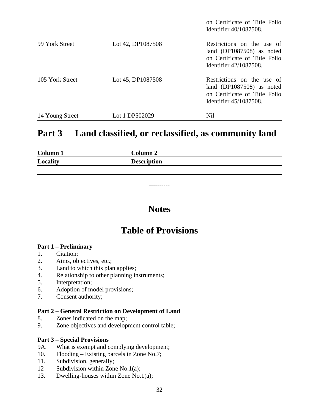|                 |                   | on Certificate of Title Folio<br>Identifier $40/1087508$ .                                                         |
|-----------------|-------------------|--------------------------------------------------------------------------------------------------------------------|
| 99 York Street  | Lot 42, DP1087508 | Restrictions on the use of<br>land (DP1087508) as noted<br>on Certificate of Title Folio<br>Identifier 42/1087508. |
| 105 York Street | Lot 45, DP1087508 | Restrictions on the use of<br>land (DP1087508) as noted<br>on Certificate of Title Folio<br>Identifier 45/1087508. |
| 14 Young Street | Lot 1 DP502029    | Nil                                                                                                                |

### **Part 3 Land classified, or reclassified, as community land**

| Column 1 | <b>Column 2</b>    |
|----------|--------------------|
| Locality | <b>Description</b> |

### **Notes**

----------

### **Table of Provisions**

#### **Part 1 – Preliminary**

- 1. Citation;
- 2. Aims, objectives, etc.;
- 3. Land to which this plan applies;
- 4. Relationship to other planning instruments;
- 5. Interpretation;
- 6. Adoption of model provisions;
- 7. Consent authority;

#### **Part 2 – General Restriction on Development of Land**

- 8. Zones indicated on the map;
- 9. Zone objectives and development control table;

#### **Part 3 – Special Provisions**

- 9A. What is exempt and complying development;
- 10. Flooding Existing parcels in Zone No.7;
- 11. Subdivision, generally;
- 12 Subdivision within Zone No.1(a);
- 13. Dwelling-houses within Zone No.1(a);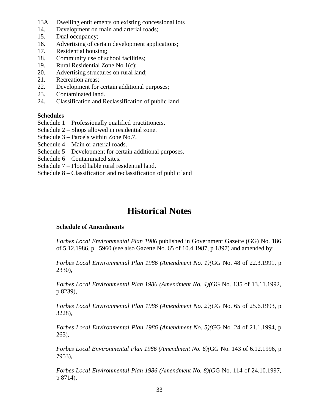- 13A. Dwelling entitlements on existing concessional lots
- 14. Development on main and arterial roads;
- 15. Dual occupancy;
- 16. Advertising of certain development applications;
- 17. Residential housing;
- 18. Community use of school facilities;
- 19. Rural Residential Zone No.1(c);
- 20. Advertising structures on rural land;
- 21. Recreation areas;
- 22. Development for certain additional purposes;
- 23. Contaminated land.
- 24. Classification and Reclassification of public land

#### **Schedules**

- Schedule 1 Professionally qualified practitioners.
- Schedule 2 Shops allowed in residential zone.
- Schedule 3 Parcels within Zone No.7.
- Schedule 4 Main or arterial roads.
- Schedule 5 Development for certain additional purposes.
- Schedule 6 Contaminated sites.
- Schedule 7 Flood liable rural residential land.
- Schedule 8 Classification and reclassification of public land

### **Historical Notes**

#### **Schedule of Amendments**

*Forbes Local Environmental Plan 1986* published in Government Gazette (GG) No. 186 of 5.12.1986, p 5960 (see also Gazette No. 65 of 10.4.1987, p 1897) and amended by:

*Forbes Local Environmental Plan 1986 (Amendment No. 1)(*GG No. 48 of 22.3.1991, p 2330),

*Forbes Local Environmental Plan 1986 (Amendment No. 4)(*GG No. 135 of 13.11.1992, p 8239),

*Forbes Local Environmental Plan 1986 (Amendment No. 2)(G*G No. 65 of 25.6.1993, p 3228),

*Forbes Local Environmental Plan 1986 (Amendment No. 5)(G*G No. 24 of 21.1.1994, p 263),

*Forbes Local Environmental Plan 1986 (Amendment No. 6)(*GG No. 143 of 6.12.1996, p 7953),

*Forbes Local Environmental Plan 1986 (Amendment No. 8)(G*G No. 114 of 24.10.1997, p 8714),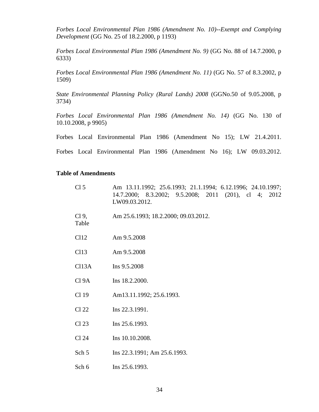*Forbes Local Environmental Plan 1986 (Amendment No. 10)--Exempt and Complying Development* (GG No. 25 of 18.2.2000, p 1193)

*Forbes Local Environmental Plan 1986 (Amendment No. 9)* (GG No. 88 of 14.7.2000, p 6333)

*Forbes Local Environmental Plan 1986 (Amendment No. 11)* (GG No. 57 of 8.3.2002, p 1509)

*State Environmental Planning Policy (Rural Lands) 2008* (GGNo.50 of 9.05.2008, p 3734)

*Forbes Local Environmental Plan 1986 (Amendment No. 14)* (GG No. 130 of 10.10.2008, p 9905)

|  | Forbes Local Environmental Plan 1986 (Amendment No 15); LW 21.4.2011. |  |  |  |  |
|--|-----------------------------------------------------------------------|--|--|--|--|
|  |                                                                       |  |  |  |  |

Forbes Local Environmental Plan 1986 (Amendment No 16); LW 09.03.2012.

#### **Table of Amendments**

| Cl <sub>5</sub>          | Am 13.11.1992; 25.6.1993; 21.1.1994; 6.12.1996; 24.10.1997;<br>14.7.2000; 8.3.2002; 9.5.2008; 2011 (201), cl 4; 2012<br>LW09.03.2012. |
|--------------------------|---------------------------------------------------------------------------------------------------------------------------------------|
| Cl <sub>9</sub><br>Table | Am 25.6.1993; 18.2.2000; 09.03.2012.                                                                                                  |
| Cl12                     | Am 9.5.2008                                                                                                                           |
| Cl13                     | Am 9.5.2008                                                                                                                           |
| Cl <sub>13A</sub>        | Ins 9.5.2008                                                                                                                          |
| Cl 9A                    | Ins 18.2.2000.                                                                                                                        |
| Cl 19                    | Am13.11.1992; 25.6.1993.                                                                                                              |
| Cl 22                    | Ins 22.3.1991.                                                                                                                        |
| Cl <sub>23</sub>         | Ins 25.6.1993.                                                                                                                        |
| Cl 24                    | Ins 10.10.2008.                                                                                                                       |
| Sch 5                    | Ins 22.3.1991; Am 25.6.1993.                                                                                                          |
| Sch 6                    | Ins 25.6.1993.                                                                                                                        |